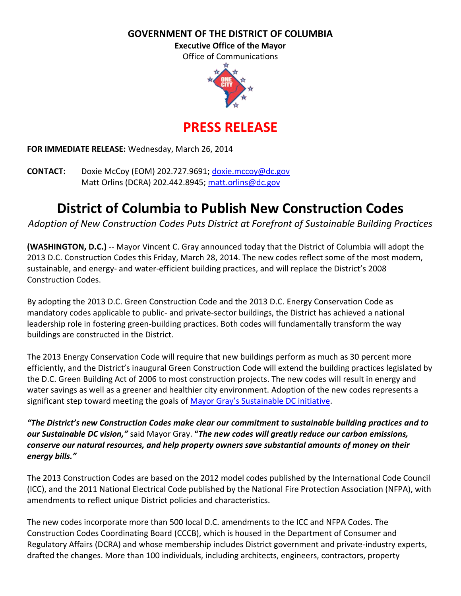**GOVERNMENT OF THE DISTRICT OF COLUMBIA**

**Executive Office of the Mayor**

Office of Communications



**PRESS RELEASE**

**FOR IMMEDIATE RELEASE:** Wednesday, March 26, 2014

**CONTACT:** Doxie McCoy (EOM) 202.727.9691; [doxie.mccoy@dc.gov](mailto:doxie.mccoy@dc.gov) Matt Orlins (DCRA) 202.442.8945; [matt.orlins@dc.gov](mailto:matt.orlins@dc.gov)

## **District of Columbia to Publish New Construction Codes**

*Adoption of New Construction Codes Puts District at Forefront of Sustainable Building Practices*

**(WASHINGTON, D.C.)** -- Mayor Vincent C. Gray announced today that the District of Columbia will adopt the 2013 D.C. Construction Codes this Friday, March 28, 2014. The new codes reflect some of the most modern, sustainable, and energy- and water-efficient building practices, and will replace the District's 2008 Construction Codes.

By adopting the 2013 D.C. Green Construction Code and the 2013 D.C. Energy Conservation Code as mandatory codes applicable to public- and private-sector buildings, the District has achieved a national leadership role in fostering green-building practices. Both codes will fundamentally transform the way buildings are constructed in the District.

The 2013 Energy Conservation Code will require that new buildings perform as much as 30 percent more efficiently, and the District's inaugural Green Construction Code will extend the building practices legislated by the D.C. Green Building Act of 2006 to most construction projects. The new codes will result in energy and water savings as well as a greener and healthier city environment. Adoption of the new codes represents a significant step toward meeting the goals of [Mayor Gray's Sustainable DC initiative](http://sustainable.dc.gov/).

*"The District's new Construction Codes make clear our commitment to sustainable building practices and to our Sustainable DC vision,"* said Mayor Gray. **"***The new codes will greatly reduce our carbon emissions, conserve our natural resources, and help property owners save substantial amounts of money on their energy bills."*

The 2013 Construction Codes are based on the 2012 model codes published by the International Code Council (ICC), and the 2011 National Electrical Code published by the National Fire Protection Association (NFPA), with amendments to reflect unique District policies and characteristics.

The new codes incorporate more than 500 local D.C. amendments to the ICC and NFPA Codes. The Construction Codes Coordinating Board (CCCB), which is housed in the Department of Consumer and Regulatory Affairs (DCRA) and whose membership includes District government and private-industry experts, drafted the changes. More than 100 individuals, including architects, engineers, contractors, property